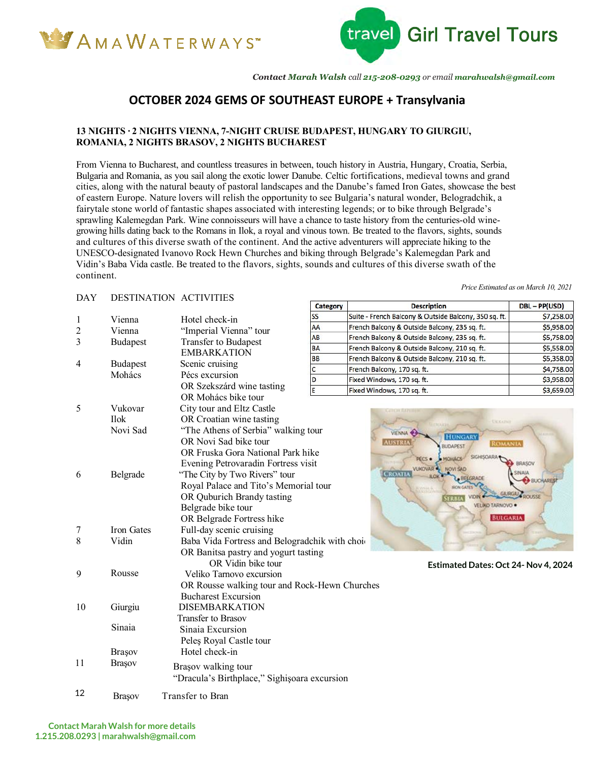



*Contact Marah Walsh call 215-208-0293 or email marahwalsh@gmail.com*

### **OCTOBER 2024 GEMS OF SOUTHEAST EUROPE + Transylvania**

#### **13 NIGHTS ∙ 2 NIGHTS VIENNA, 7-NIGHT CRUISE BUDAPEST, HUNGARY TO GIURGIU, ROMANIA, 2 NIGHTS BRASOV, 2 NIGHTS BUCHAREST**

From Vienna to Bucharest, and countless treasures in between, touch history in Austria, Hungary, Croatia, Serbia, Bulgaria and Romania, as you sail along the exotic lower Danube. Celtic fortifications, medieval towns and grand cities, along with the natural beauty of pastoral landscapes and the Danube's famed Iron Gates, showcase the best of eastern Europe. Nature lovers will relish the opportunity to see Bulgaria's natural wonder, Belogradchik, a fairytale stone world of fantastic shapes associated with interesting legends; or to bike through Belgrade's sprawling Kalemegdan Park. Wine connoisseurs will have a chance to taste history from the centuries-old winegrowing hills dating back to the Romans in Ilok, a royal and vinous town. Be treated to the flavors, sights, sounds and cultures of this diverse swath of the continent. And the active adventurers will appreciate hiking to the UNESCO-designated Ivanovo Rock Hewn Churches and biking through Belgrade's Kalemegdan Park and Vidin's Baba Vida castle. Be treated to the flavors, sights, sounds and cultures of this diverse swath of the continent.

#### DAY DESTINATION ACTIVITIES

| נ ב <i>ו</i> ע | DESTINATION ACTIVITIES    |                                                               | <b>Category</b> | <b>Description</b>                                    | DBL-PP(USD)             |  |
|----------------|---------------------------|---------------------------------------------------------------|-----------------|-------------------------------------------------------|-------------------------|--|
| 1              | Vienna                    | Hotel check-in                                                | <b>SS</b>       | Suite - French Balcony & Outside Balcony, 350 sq. ft. | \$7,258.00              |  |
| $\overline{c}$ | Vienna                    | "Imperial Vienna" tour                                        | AA              | French Balcony & Outside Balcony, 235 sq. ft.         | \$5,958.00              |  |
| 3              | <b>Budapest</b>           | Transfer to Budapest                                          | AB              | French Balcony & Outside Balcony, 235 sq. ft.         | \$5,758.00              |  |
|                |                           | <b>EMBARKATION</b>                                            | <b>BA</b>       | French Balcony & Outside Balcony, 210 sq. ft.         | \$5,558.00              |  |
|                |                           |                                                               | <b>BB</b>       | French Balcony & Outside Balcony, 210 sq. ft.         | \$5,358.00              |  |
| 4              | <b>Budapest</b><br>Mohács | Scenic cruising<br>Pécs excursion                             | $\mathsf{C}$    | French Balcony, 170 sq. ft.                           | \$4,758.00              |  |
|                |                           |                                                               | D               | Fixed Windows, 170 sq. ft.                            | \$3,958.00              |  |
|                |                           | OR Szekszárd wine tasting                                     | E               | Fixed Windows, 170 sq. ft.                            | \$3,659.00              |  |
|                |                           | OR Mohács bike tour                                           |                 |                                                       |                         |  |
| 5              | Vukovar                   | City tour and Eltz Castle                                     |                 |                                                       |                         |  |
|                | <b>Ilok</b>               | OR Croatian wine tasting                                      |                 | <b>UKKAPH</b>                                         |                         |  |
|                | Novi Sad                  | "The Athens of Serbia" walking tour                           |                 | <b>VIENNA</b><br><b>HUNGARY</b>                       |                         |  |
|                |                           | OR Novi Sad bike tour                                         |                 | <b>AUSTRU</b><br><b>ROMANIA</b><br><b>BUDAPEST</b>    |                         |  |
|                |                           | OR Fruska Gora National Park hike                             |                 | <b>PECS .</b><br>MOHACS                               |                         |  |
|                |                           | Evening Petrovaradin Fortress visit                           |                 | <b>VUKOVAR<sup>4</sup></b><br>NOVI SAD                | <b>BRASOV</b>           |  |
| 6              | Belgrade                  | "The City by Two Rivers" tour                                 |                 | <b>CROATL</b>                                         | AIAW.<br><b>BUCHARE</b> |  |
|                |                           | Royal Palace and Tito's Memorial tour<br><b>SON GATE</b>      |                 |                                                       |                         |  |
|                |                           | <b>GIURGAU A ROUSSE</b><br>OR Quburich Brandy tasting<br>ERBU |                 |                                                       |                         |  |
|                |                           | Belgrade bike tour                                            |                 | VELIKO TARNOVO ·                                      |                         |  |
|                |                           | <b>BULGARIA</b><br>OR Belgrade Fortress hike                  |                 |                                                       |                         |  |
| 7              | Iron Gates                | Full-day scenic cruising                                      |                 |                                                       |                         |  |
| 8              | Vidin                     | Baba Vida Fortress and Belogradchik with choi-                |                 |                                                       |                         |  |
|                |                           | OR Banitsa pastry and yogurt tasting                          |                 |                                                       |                         |  |
|                |                           | OR Vidin bike tour                                            |                 | Estimated Dates: Oct 24- Nov 4, 2024                  |                         |  |
| 9              | Rousse                    | Veliko Tarnovo excursion                                      |                 |                                                       |                         |  |
|                |                           | OR Rousse walking tour and Rock-Hewn Churches                 |                 |                                                       |                         |  |
|                |                           | <b>Bucharest Excursion</b>                                    |                 |                                                       |                         |  |
| 10             | Giurgiu                   | <b>DISEMBARKATION</b>                                         |                 |                                                       |                         |  |
|                |                           | Transfer to Brasov                                            |                 |                                                       |                         |  |
|                | Sinaia                    | Sinaia Excursion                                              |                 |                                                       |                         |  |
|                |                           | Peles Royal Castle tour                                       |                 |                                                       |                         |  |
|                | Brașov                    | Hotel check-in                                                |                 |                                                       |                         |  |
| 11             | <b>Brașov</b>             |                                                               |                 |                                                       |                         |  |
|                |                           | Brașov walking tour                                           |                 |                                                       |                         |  |
|                |                           | "Dracula's Birthplace," Sighișoara excursion                  |                 |                                                       |                         |  |
|                |                           |                                                               |                 |                                                       |                         |  |

Brasov Transfer to Bran 12

*Price Estimated as on March 10, 2021*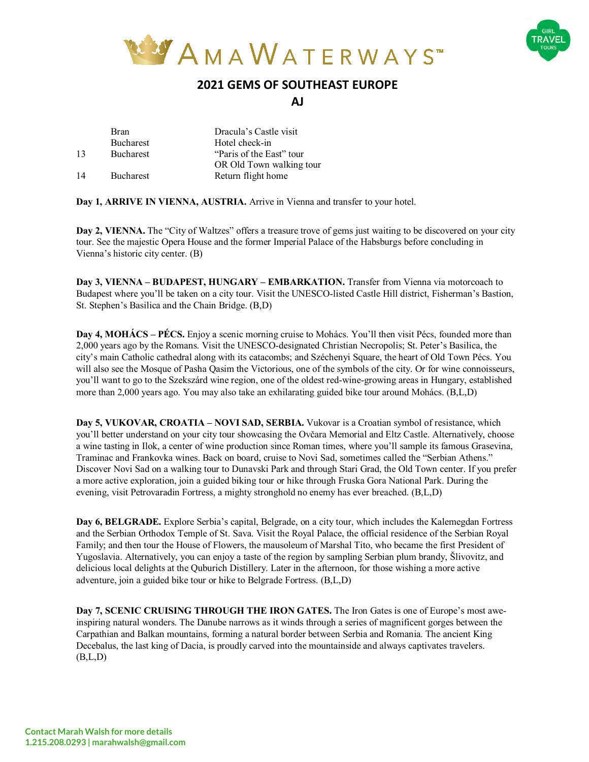



## **2021 GEMS OF SOUTHEAST EUROPE**

**AJ**

|    | <b>Bran</b>      | Dracula's Castle visit   |  |
|----|------------------|--------------------------|--|
|    | <b>Bucharest</b> | Hotel check-in           |  |
| 13 | <b>Bucharest</b> | "Paris of the East" tour |  |
|    |                  | OR Old Town walking tour |  |
| 14 | <b>Bucharest</b> | Return flight home       |  |

**Day 1, ARRIVE IN VIENNA, AUSTRIA.** Arrive in Vienna and transfer to your hotel.

**Day 2, VIENNA.** The "City of Waltzes" offers a treasure trove of gems just waiting to be discovered on your city tour. See the majestic Opera House and the former Imperial Palace of the Habsburgs before concluding in Vienna's historic city center. (B)

**Day 3, VIENNA – BUDAPEST, HUNGARY – EMBARKATION.** Transfer from Vienna via motorcoach to Budapest where you'll be taken on a city tour. Visit the UNESCO-listed Castle Hill district, Fisherman's Bastion, St. Stephen's Basilica and the Chain Bridge. (B,D)

**Day 4, MOHÁCS – PÉCS.** Enjoy a scenic morning cruise to Mohács. You'll then visit Pécs, founded more than 2,000 years ago by the Romans. Visit the UNESCO-designated Christian Necropolis; St. Peter's Basilica, the city's main Catholic cathedral along with its catacombs; and Széchenyi Square, the heart of Old Town Pécs. You will also see the Mosque of Pasha Qasim the Victorious, one of the symbols of the city. Or for wine connoisseurs, you'll want to go to the Szekszárd wine region, one of the oldest red-wine-growing areas in Hungary, established more than 2,000 years ago. You may also take an exhilarating guided bike tour around Mohács. (B,L,D)

**Day 5, VUKOVAR, CROATIA – NOVI SAD, SERBIA.** Vukovar is a Croatian symbol of resistance, which you'll better understand on your city tour showcasing the Ovčara Memorial and Eltz Castle. Alternatively, choose a wine tasting in Ilok, a center of wine production since Roman times, where you'll sample its famous Grasevina, Traminac and Frankovka wines. Back on board, cruise to Novi Sad, sometimes called the "Serbian Athens." Discover Novi Sad on a walking tour to Dunavski Park and through Stari Grad, the Old Town center. If you prefer a more active exploration, join a guided biking tour or hike through Fruska Gora National Park. During the evening, visit Petrovaradin Fortress, a mighty stronghold no enemy has ever breached. (B,L,D)

**Day 6, BELGRADE.** Explore Serbia's capital, Belgrade, on a city tour, which includes the Kalemegdan Fortress and the Serbian Orthodox Temple of St. Sava. Visit the Royal Palace, the official residence of the Serbian Royal Family; and then tour the House of Flowers, the mausoleum of Marshal Tito, who became the first President of Yugoslavia. Alternatively, you can enjoy a taste of the region by sampling Serbian plum brandy, Šlivovitz, and delicious local delights at the Quburich Distillery. Later in the afternoon, for those wishing a more active adventure, join a guided bike tour or hike to Belgrade Fortress. (B,L,D)

**Day 7, SCENIC CRUISING THROUGH THE IRON GATES.** The Iron Gates is one of Europe's most aweinspiring natural wonders. The Danube narrows as it winds through a series of magnificent gorges between the Carpathian and Balkan mountains, forming a natural border between Serbia and Romania. The ancient King Decebalus, the last king of Dacia, is proudly carved into the mountainside and always captivates travelers.  $(B,L,D)$